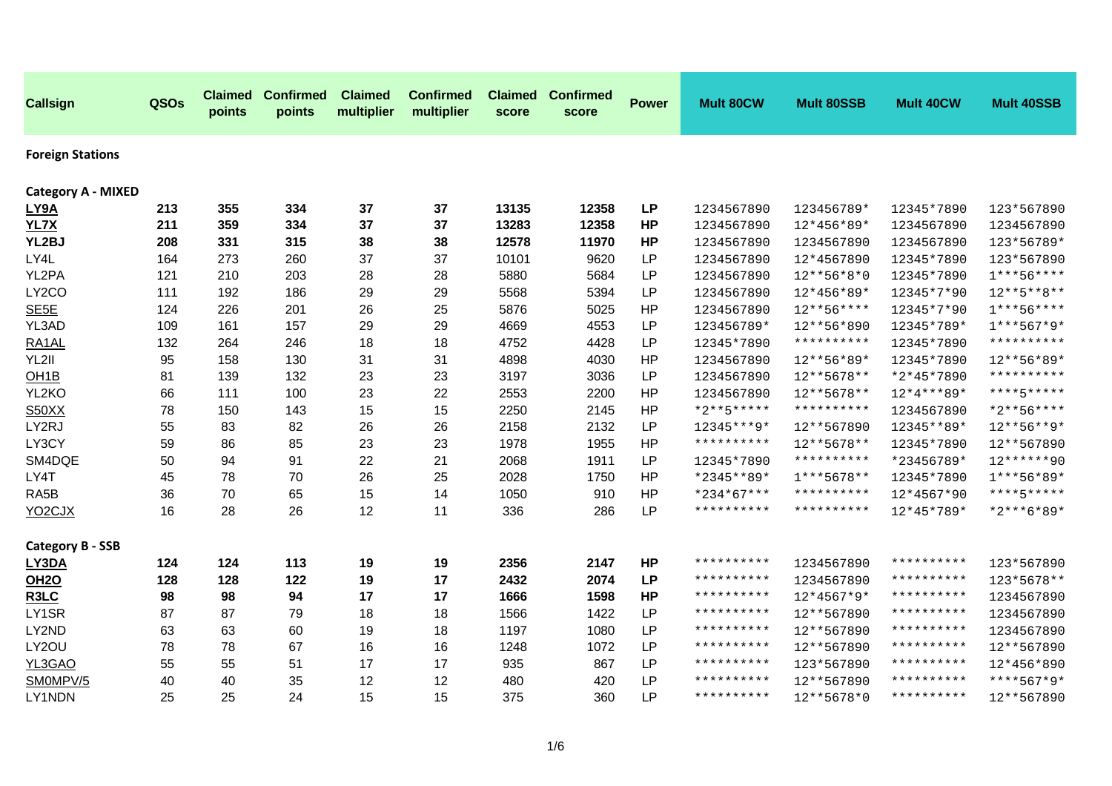| <b>Callsign</b>               | QSOs | <b>Claimed</b><br>points | <b>Confirmed</b><br>points | <b>Claimed</b><br>multiplier | <b>Confirmed</b><br>multiplier | <b>Claimed</b><br>score | <b>Confirmed</b><br>score | <b>Power</b> | Mult 80CW           | <b>Mult 80SSB</b> | Mult 40CW           | <b>Mult 40SSB</b> |
|-------------------------------|------|--------------------------|----------------------------|------------------------------|--------------------------------|-------------------------|---------------------------|--------------|---------------------|-------------------|---------------------|-------------------|
| <b>Foreign Stations</b>       |      |                          |                            |                              |                                |                         |                           |              |                     |                   |                     |                   |
| <b>Category A - MIXED</b>     |      |                          |                            |                              |                                |                         |                           |              |                     |                   |                     |                   |
| LY9A                          | 213  | 355                      | 334                        | 37                           | 37                             | 13135                   | 12358                     | <b>LP</b>    | 1234567890          | 123456789*        | 12345*7890          | 123*567890        |
| <b>YL7X</b>                   | 211  | 359                      | 334                        | 37                           | 37                             | 13283                   | 12358                     | <b>HP</b>    | 1234567890          | 12*456*89*        | 1234567890          | 1234567890        |
| YL2BJ                         | 208  | 331                      | 315                        | 38                           | 38                             | 12578                   | 11970                     | <b>HP</b>    | 1234567890          | 1234567890        | 1234567890          | 123*56789*        |
| LY4L                          | 164  | 273                      | 260                        | 37                           | 37                             | 10101                   | 9620                      | <b>LP</b>    | 1234567890          | 12*4567890        | 12345*7890          | 123*567890        |
| YL2PA                         | 121  | 210                      | 203                        | 28                           | 28                             | 5880                    | 5684                      | <b>LP</b>    | 1234567890          | $12***56*8*0$     | 12345*7890          | $1***56***$       |
| LY2CO                         | 111  | 192                      | 186                        | 29                           | 29                             | 5568                    | 5394                      | LP           | 1234567890          | 12*456*89*        | 12345*7*90          | $12***5***8***$   |
| SE <sub>5E</sub>              | 124  | 226                      | 201                        | 26                           | 25                             | 5876                    | 5025                      | HP           | 1234567890          | $12***56****$     | 12345*7*90          | $1***56***$       |
| YL3AD                         | 109  | 161                      | 157                        | 29                           | 29                             | 4669                    | 4553                      | <b>LP</b>    | 123456789*          | 12**56*890        | 12345*789*          | $1***567*9*$      |
| RA1AL                         | 132  | 264                      | 246                        | 18                           | 18                             | 4752                    | 4428                      | LP           | 12345*7890          | **********        | 12345*7890          | **********        |
| YL2II                         | 95   | 158                      | 130                        | 31                           | 31                             | 4898                    | 4030                      | HP           | 1234567890          | 12**56*89*        | 12345*7890          | 12**56*89*        |
| OH <sub>1</sub> B             | 81   | 139                      | 132                        | 23                           | 23                             | 3197                    | 3036                      | <b>LP</b>    | 1234567890          | 12**5678**        | *2*45*7890          | **********        |
| YL2KO                         | 66   | 111                      | 100                        | 23                           | 22                             | 2553                    | 2200                      | <b>HP</b>    | 1234567890          | 12**5678**        | $12*4***89*$        | ****5*****        |
| S50XX                         | 78   | 150                      | 143                        | 15                           | 15                             | 2250                    | 2145                      | <b>HP</b>    | $*2***5****$        | **********        | 1234567890          | *2**56****        |
| LY2RJ                         | 55   | 83                       | 82                         | 26                           | 26                             | 2158                    | 2132                      | <b>LP</b>    | 12345***9*          | 12**567890        | 12345**89*          | $12***56***9*$    |
| LY3CY                         | 59   | 86                       | 85                         | 23                           | 23                             | 1978                    | 1955                      | HP           | **********          | 12**5678**        | 12345*7890          | 12**567890        |
| SM4DQE                        | 50   | 94                       | 91                         | 22                           | 21                             | 2068                    | 1911                      | <b>LP</b>    | 12345*7890          | **********        | *23456789*          | 12******90        |
| LY4T                          | 45   | 78                       | 70                         | 26                           | 25                             | 2028                    | 1750                      | HP           | *2345**89*          | $1***5678**$      | 12345*7890          | 1***56*89*        |
| RA5B                          | 36   | 70                       | 65                         | 15                           | 14                             | 1050                    | 910                       | HP           | $*234*67***$        | **********        | 12*4567*90          | ****5*****        |
| YO <sub>2</sub> CJX           | 16   | 28                       | 26                         | 12                           | 11                             | 336                     | 286                       | <b>LP</b>    | **********          | **********        | 12*45*789*          | *2***6*89*        |
| <b>Category B - SSB</b>       |      |                          |                            |                              |                                |                         |                           |              |                     |                   |                     |                   |
| LY3DA                         | 124  | 124                      | 113                        | 19                           | 19                             | 2356                    | 2147                      | <b>HP</b>    | **********          | 1234567890        | **********          | 123*567890        |
| <b>OH2O</b>                   | 128  | 128                      | 122                        | 19                           | 17                             | 2432                    | 2074                      | <b>LP</b>    | **********          | 1234567890        | **********          | 123*5678**        |
| R <sub>3</sub> L <sub>C</sub> | 98   | 98                       | 94                         | 17                           | 17                             | 1666                    | 1598                      | <b>HP</b>    | **********          | $12*4567*9*$      | * * * * * * * * * * | 1234567890        |
| LY1SR                         | 87   | 87                       | 79                         | 18                           | 18                             | 1566                    | 1422                      | <b>LP</b>    | * * * * * * * * * * | 12**567890        | * * * * * * * * * * | 1234567890        |
| LY2ND                         | 63   | 63                       | 60                         | 19                           | 18                             | 1197                    | 1080                      | <b>LP</b>    | **********          | 12**567890        | **********          | 1234567890        |
| LY2OU                         | 78   | 78                       | 67                         | 16                           | 16                             | 1248                    | 1072                      | LP           | **********          | 12**567890        | **********          | 12**567890        |
| YL3GAO                        | 55   | 55                       | 51                         | 17                           | 17                             | 935                     | 867                       | LP           | * * * * * * * * * * | 123*567890        | * * * * * * * * * * | 12*456*890        |
| SM0MPV/5                      | 40   | 40                       | 35                         | 12                           | 12                             | 480                     | 420                       | <b>LP</b>    | * * * * * * * * * * | 12**567890        | **********          | ****567*9*        |
| LY1NDN                        | 25   | 25                       | 24                         | 15                           | 15                             | 375                     | 360                       | <b>LP</b>    | **********          | 12**5678*0        | **********          | 12**567890        |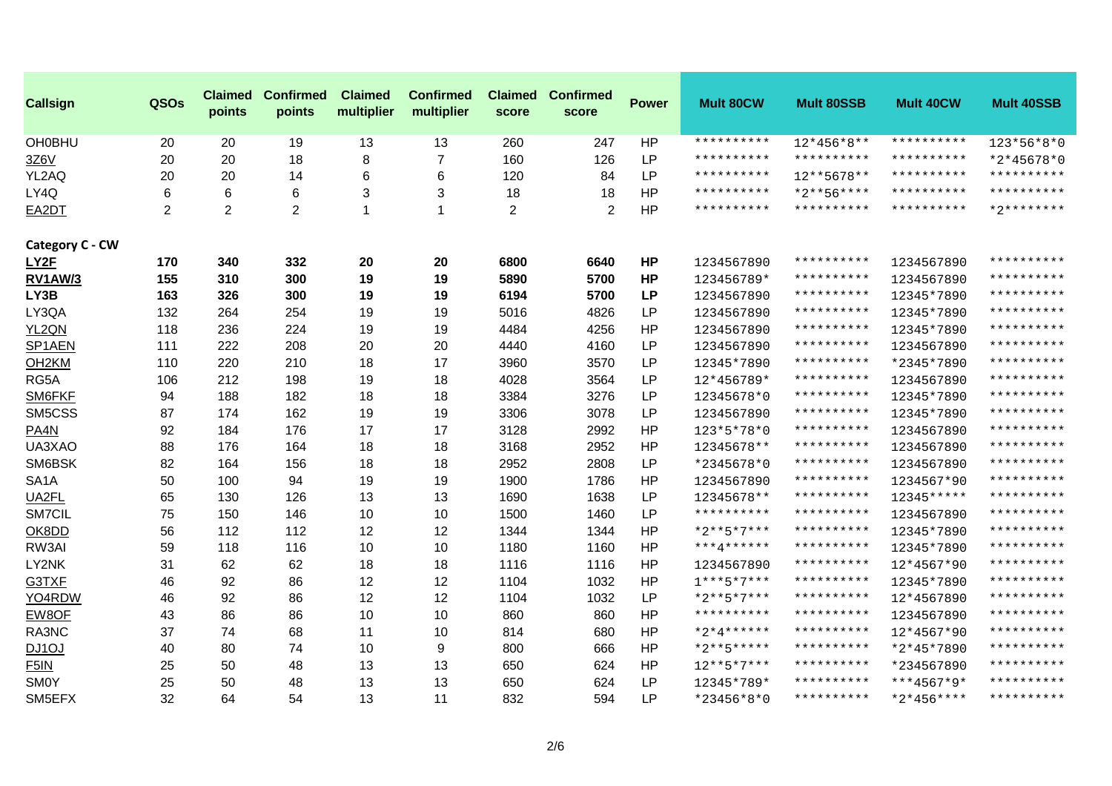| <b>Callsign</b>    | QSOs           | <b>Claimed</b><br>points | <b>Confirmed</b><br>points | <b>Claimed</b><br>multiplier | <b>Confirmed</b><br>multiplier | <b>Claimed</b><br>score | <b>Confirmed</b><br>score | <b>Power</b> | <b>Mult 80CW</b>    | <b>Mult 80SSB</b>   | <b>Mult 40CW</b> | <b>Mult 40SSB</b> |
|--------------------|----------------|--------------------------|----------------------------|------------------------------|--------------------------------|-------------------------|---------------------------|--------------|---------------------|---------------------|------------------|-------------------|
| <b>OH0BHU</b>      | 20             | 20                       | 19                         | 13                           | 13                             | 260                     | 247                       | HP           | **********          | $12*456*8**$        | **********       | 123*56*8*0        |
| 3Z6V               | 20             | 20                       | 18                         | 8                            | $\overline{7}$                 | 160                     | 126                       | <b>LP</b>    | **********          | **********          | **********       | *2*45678*0        |
| YL2AQ              | 20             | 20                       | 14                         | 6                            | 6                              | 120                     | 84                        | <b>LP</b>    | **********          | 12**5678**          | **********       | **********        |
| LY4Q               | 6              | 6                        | 6                          | 3                            | 3                              | 18                      | 18                        | <b>HP</b>    | **********          | $*2***56****$       | **********       | **********        |
| EA2DT              | $\overline{2}$ | 2                        | $\overline{2}$             | 1                            | 1                              | $\overline{2}$          | 2                         | HP           | **********          | **********          | **********       | $*2*********$     |
| Category C - CW    |                |                          |                            |                              |                                |                         |                           |              |                     |                     |                  |                   |
| LY2F               | 170            | 340                      | 332                        | 20                           | 20                             | 6800                    | 6640                      | <b>HP</b>    | 1234567890          | **********          | 1234567890       | **********        |
| <b>RV1AW/3</b>     | 155            | 310                      | 300                        | 19                           | 19                             | 5890                    | 5700                      | <b>HP</b>    | 123456789*          | **********          | 1234567890       | **********        |
| LY3B               | 163            | 326                      | 300                        | 19                           | 19                             | 6194                    | 5700                      | <b>LP</b>    | 1234567890          | * * * * * * * * * * | 12345*7890       | **********        |
| LY3QA              | 132            | 264                      | 254                        | 19                           | 19                             | 5016                    | 4826                      | <b>LP</b>    | 1234567890          | * * * * * * * * * * | 12345*7890       | **********        |
| YL2QN              | 118            | 236                      | 224                        | 19                           | 19                             | 4484                    | 4256                      | HP           | 1234567890          | **********          | 12345*7890       | **********        |
| SP1AEN             | 111            | 222                      | 208                        | 20                           | 20                             | 4440                    | 4160                      | <b>LP</b>    | 1234567890          | **********          | 1234567890       | **********        |
| OH <sub>2</sub> KM | 110            | 220                      | 210                        | 18                           | 17                             | 3960                    | 3570                      | <b>LP</b>    | 12345*7890          | **********          | *2345*7890       | **********        |
| RG5A               | 106            | 212                      | 198                        | 19                           | 18                             | 4028                    | 3564                      | <b>LP</b>    | 12*456789*          | **********          | 1234567890       | **********        |
| SM6FKF             | 94             | 188                      | 182                        | 18                           | 18                             | 3384                    | 3276                      | <b>LP</b>    | 12345678*0          | **********          | 12345*7890       | **********        |
| SM5CSS             | 87             | 174                      | 162                        | 19                           | 19                             | 3306                    | 3078                      | <b>LP</b>    | 1234567890          | **********          | 12345*7890       | **********        |
| PA4N               | 92             | 184                      | 176                        | 17                           | 17                             | 3128                    | 2992                      | HP           | 123*5*78*0          | **********          | 1234567890       | **********        |
| UA3XAO             | 88             | 176                      | 164                        | 18                           | 18                             | 3168                    | 2952                      | HP           | 12345678**          | **********          | 1234567890       | **********        |
| SM6BSK             | 82             | 164                      | 156                        | 18                           | 18                             | 2952                    | 2808                      | LP           | *2345678*0          | **********          | 1234567890       | **********        |
| SA <sub>1</sub> A  | 50             | 100                      | 94                         | 19                           | 19                             | 1900                    | 1786                      | HP           | 1234567890          | **********          | 1234567*90       | **********        |
| UA2FL              | 65             | 130                      | 126                        | 13                           | 13                             | 1690                    | 1638                      | <b>LP</b>    | 12345678**          | **********          | 12345*****       | **********        |
| SM7CIL             | 75             | 150                      | 146                        | 10                           | 10                             | 1500                    | 1460                      | LP           | **********          | **********          | 1234567890       | **********        |
| OK8DD              | 56             | 112                      | 112                        | 12                           | 12                             | 1344                    | 1344                      | <b>HP</b>    | $*2***5*7***$       | **********          | 12345*7890       | **********        |
| RW3AI              | 59             | 118                      | 116                        | 10                           | 10                             | 1180                    | 1160                      | HP           | ***4******          | **********          | 12345*7890       | **********        |
| LY2NK              | 31             | 62                       | 62                         | 18                           | 18                             | 1116                    | 1116                      | <b>HP</b>    | 1234567890          | **********          | 12*4567*90       | **********        |
| G3TXF              | 46             | 92                       | 86                         | 12                           | 12                             | 1104                    | 1032                      | HP           | $1***5*7***$        | **********          | 12345*7890       | **********        |
| YO4RDW             | 46             | 92                       | 86                         | 12                           | 12                             | 1104                    | 1032                      | <b>LP</b>    | $*2***5*7***$       | **********          | 12*4567890       | **********        |
| EW8OF              | 43             | 86                       | 86                         | 10                           | 10                             | 860                     | 860                       | <b>HP</b>    | * * * * * * * * * * | **********          | 1234567890       | **********        |
| RA3NC              | 37             | 74                       | 68                         | 11                           | 10                             | 814                     | 680                       | HP           | $*2*4***$           | **********          | 12*4567*90       | **********        |
| DJ1OJ              | 40             | 80                       | 74                         | 10                           | 9                              | 800                     | 666                       | HP           | *2**5*****          | **********          | *2*45*7890       | **********        |
| F5IN               | 25             | 50                       | 48                         | 13                           | 13                             | 650                     | 624                       | <b>HP</b>    | $12***5*7***$       | **********          | *234567890       | **********        |
| <b>SM0Y</b>        | 25             | 50                       | 48                         | 13                           | 13                             | 650                     | 624                       | <b>LP</b>    | 12345*789*          | **********          | $***4567*9*$     | **********        |
| SM5EFX             | 32             | 64                       | 54                         | 13                           | 11                             | 832                     | 594                       | <b>LP</b>    | *23456*8*0          | **********          | $*2*456***$      | **********        |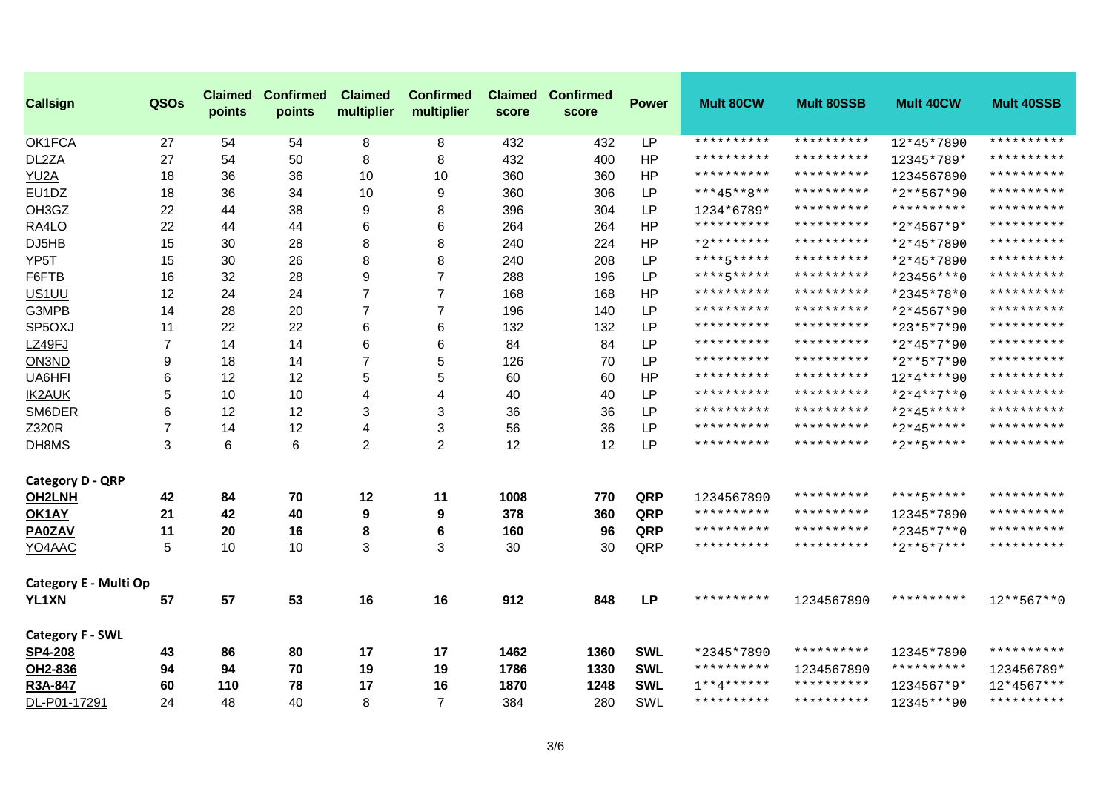| <b>Callsign</b>         | QSOs           | <b>Claimed</b><br>points | <b>Confirmed</b><br>points | <b>Claimed</b><br>multiplier | <b>Confirmed</b><br>multiplier | score | <b>Claimed Confirmed</b><br>score | <b>Power</b> | Mult 80CW           | <b>Mult 80SSB</b>   | Mult 40CW     | <b>Mult 40SSB</b> |
|-------------------------|----------------|--------------------------|----------------------------|------------------------------|--------------------------------|-------|-----------------------------------|--------------|---------------------|---------------------|---------------|-------------------|
| OK1FCA                  | 27             | 54                       | 54                         | 8                            | 8                              | 432   | 432                               | <b>LP</b>    | **********          | **********          | 12*45*7890    | **********        |
| DL2ZA                   | 27             | 54                       | 50                         | 8                            | 8                              | 432   | 400                               | HP           | **********          | **********          | 12345*789*    | **********        |
| YU2A                    | 18             | 36                       | 36                         | 10                           | 10                             | 360   | 360                               | HP           | * * * * * * * * * * | **********          | 1234567890    | **********        |
| EU <sub>1</sub> DZ      | 18             | 36                       | 34                         | 10                           | 9                              | 360   | 306                               | <b>LP</b>    | ***45**8**          | **********          | *2**567*90    | **********        |
| OH3GZ                   | 22             | 44                       | 38                         | 9                            | 8                              | 396   | 304                               | <b>LP</b>    | 1234*6789*          | **********          | **********    | **********        |
| RA4LO                   | 22             | 44                       | 44                         | 6                            | 6                              | 264   | 264                               | HP           | **********          | **********          | $*2*4567*9*$  | **********        |
| DJ5HB                   | 15             | 30                       | 28                         | 8                            | 8                              | 240   | 224                               | HP           | $*2*********$       | **********          | *2*45*7890    | **********        |
| YP <sub>5</sub> T       | 15             | 30                       | 26                         | 8                            | 8                              | 240   | 208                               | <b>LP</b>    | ****5*****          | **********          | *2*45*7890    | **********        |
| F6FTB                   | 16             | 32                       | 28                         | 9                            | 7                              | 288   | 196                               | <b>LP</b>    | ****5*****          | **********          | *23456***0    | **********        |
| US <sub>1</sub> UU      | 12             | 24                       | 24                         | $\overline{7}$               | $\overline{7}$                 | 168   | 168                               | HP           | * * * * * * * * * * | **********          | *2345*78*0    | **********        |
| G3MPB                   | 14             | 28                       | 20                         | $\overline{7}$               | $\overline{7}$                 | 196   | 140                               | <b>LP</b>    | **********          | **********          | *2*4567*90    | **********        |
| SP5OXJ                  | 11             | 22                       | 22                         | 6                            | 6                              | 132   | 132                               | LP           | **********          | **********          | *23*5*7*90    | **********        |
| LZ49FJ                  | $\overline{7}$ | 14                       | 14                         | 6                            | 6                              | 84    | 84                                | LP           | **********          | **********          | *2*45*7*90    | **********        |
| ON3ND                   | 9              | 18                       | 14                         | $\overline{7}$               | 5                              | 126   | 70                                | <b>LP</b>    | * * * * * * * * * * | **********          | *2**5*7*90    | **********        |
| UA6HFI                  | 6              | 12                       | 12                         | $\sqrt{5}$                   | 5                              | 60    | 60                                | HP           | **********          | **********          | 12*4****90    | **********        |
| <b>IK2AUK</b>           | 5              | 10                       | 10                         | 4                            | 4                              | 40    | 40                                | LP           | **********          | **********          | $*2*4**7**0$  | **********        |
| SM6DER                  | 6              | 12                       | 12                         | 3                            | 3                              | 36    | 36                                | <b>LP</b>    | **********          | **********          | $*2*45***$    | **********        |
| Z320R                   | $\overline{7}$ | 14                       | 12                         | 4                            | 3                              | 56    | 36                                | <b>LP</b>    | **********          | * * * * * * * * * * | $*2*45***$    | **********        |
| DH8MS                   | 3              | 6                        | 6                          | $\overline{2}$               | $\overline{2}$                 | 12    | 12                                | <b>LP</b>    | **********          | * * * * * * * * * * | $*2***5****$  | **********        |
| <b>Category D - QRP</b> |                |                          |                            |                              |                                |       |                                   |              |                     |                     |               |                   |
| <b>OH2LNH</b>           | 42             | 84                       | 70                         | 12                           | 11                             | 1008  | 770                               | QRP          | 1234567890          | **********          | ****5*****    | **********        |
| OK1AY                   | 21             | 42                       | 40                         | 9                            | $\boldsymbol{9}$               | 378   | 360                               | QRP          | **********          | **********          | 12345*7890    | **********        |
| <b>PA0ZAV</b>           | 11             | 20                       | 16                         | 8                            | 6                              | 160   | 96                                | QRP          | **********          | **********          | *2345*7**0    | **********        |
| YO4AAC                  | 5              | 10                       | 10                         | 3                            | 3                              | 30    | 30                                | QRP          | **********          | **********          | $*2***5*7***$ | **********        |
| Category E - Multi Op   |                |                          |                            |                              |                                |       |                                   |              |                     |                     |               |                   |
| YL1XN                   | 57             | 57                       | 53                         | 16                           | 16                             | 912   | 848                               | <b>LP</b>    | **********          | 1234567890          | **********    | $12***567**0$     |
| <b>Category F - SWL</b> |                |                          |                            |                              |                                |       |                                   |              |                     |                     |               |                   |
| <b>SP4-208</b>          | 43             | 86                       | 80                         | 17                           | 17                             | 1462  | 1360                              | <b>SWL</b>   | *2345*7890          | **********          | 12345*7890    | **********        |
| OH2-836                 | 94             | 94                       | 70                         | 19                           | 19                             | 1786  | 1330                              | <b>SWL</b>   | **********          | 1234567890          | **********    | 123456789*        |
| R3A-847                 | 60             | 110                      | 78                         | 17                           | 16                             | 1870  | 1248                              | <b>SWL</b>   | $1***4******$       | **********          | 1234567*9*    | $12*4567***$      |
| DL-P01-17291            | 24             | 48                       | 40                         | 8                            | $\overline{7}$                 | 384   | 280                               | SWL          | **********          | **********          | 12345***90    | **********        |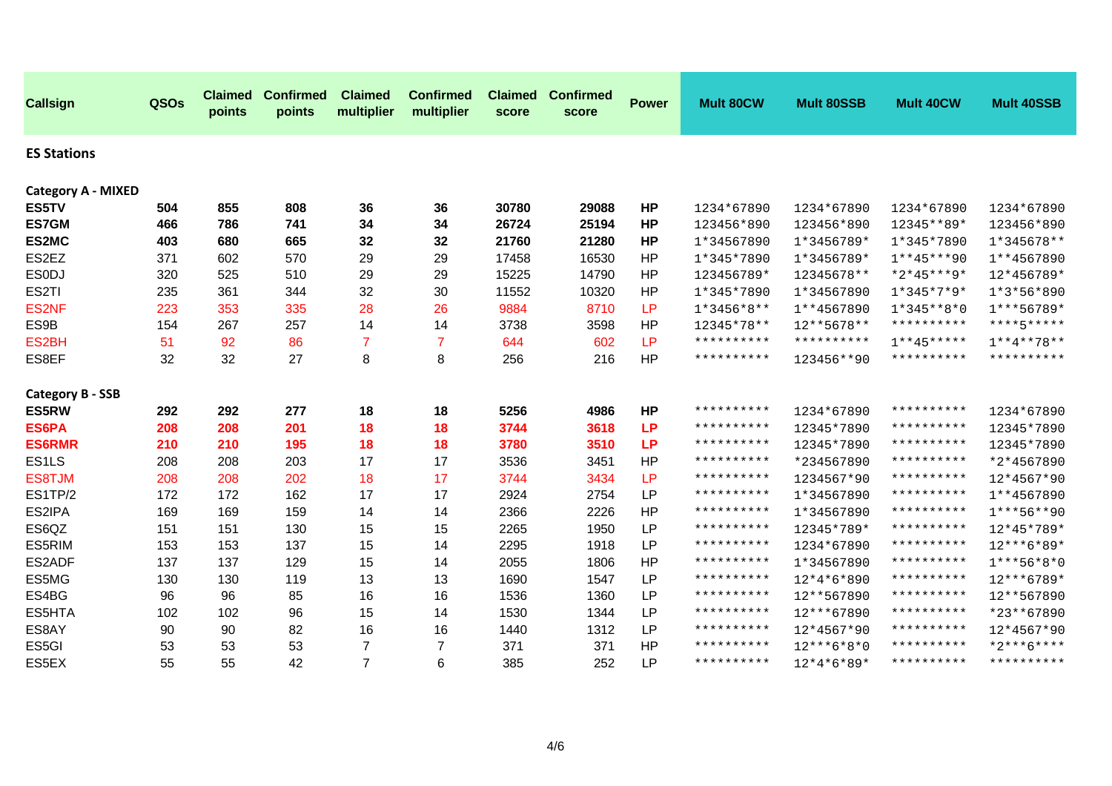| <b>Callsign</b>           | QSOs | <b>Claimed</b><br>points | <b>Confirmed</b><br>points | <b>Claimed</b><br>multiplier | <b>Confirmed</b><br>multiplier | <b>Claimed</b><br>score | <b>Confirmed</b><br>score | <b>Power</b> | Mult 80CW    | <b>Mult 80SSB</b>   | Mult 40CW     | <b>Mult 40SSB</b> |
|---------------------------|------|--------------------------|----------------------------|------------------------------|--------------------------------|-------------------------|---------------------------|--------------|--------------|---------------------|---------------|-------------------|
| <b>ES Stations</b>        |      |                          |                            |                              |                                |                         |                           |              |              |                     |               |                   |
| <b>Category A - MIXED</b> |      |                          |                            |                              |                                |                         |                           |              |              |                     |               |                   |
| ES5TV                     | 504  | 855                      | 808                        | 36                           | 36                             | 30780                   | 29088                     | <b>HP</b>    | 1234*67890   | 1234*67890          | 1234*67890    | 1234*67890        |
| <b>ES7GM</b>              | 466  | 786                      | 741                        | 34                           | 34                             | 26724                   | 25194                     | <b>HP</b>    | 123456*890   | 123456*890          | 12345**89*    | 123456*890        |
| ES2MC                     | 403  | 680                      | 665                        | 32                           | 32                             | 21760                   | 21280                     | <b>HP</b>    | 1*34567890   | 1*3456789*          | 1*345*7890    | $1*345678**$      |
| ES2EZ                     | 371  | 602                      | 570                        | 29                           | 29                             | 17458                   | 16530                     | HP           | 1*345*7890   | 1*3456789*          | $1***45***90$ | 1**4567890        |
| <b>ESODJ</b>              | 320  | 525                      | 510                        | 29                           | 29                             | 15225                   | 14790                     | HP           | 123456789*   | 12345678**          | *2*45***9*    | 12*456789*        |
| ES2TI                     | 235  | 361                      | 344                        | 32                           | 30                             | 11552                   | 10320                     | HP           | 1*345*7890   | 1*34567890          | $1*345*7*9*$  | $1*3*56*890$      |
| ES2NF                     | 223  | 353                      | 335                        | 28                           | 26                             | 9884                    | 8710                      | LP           | $1*3456*8**$ | 1**4567890          | $1*345**8*0$  | $1***56789*$      |
| ES9B                      | 154  | 267                      | 257                        | 14                           | 14                             | 3738                    | 3598                      | HP           | 12345*78**   | $12***5678**$       | **********    | ****5*****        |
| ES <sub>2</sub> BH        | 51   | 92                       | 86                         | $\overline{7}$               | $\overline{7}$                 | 644                     | 602                       | LP           | **********   | * * * * * * * * * * | $1***45***$   | $1***4***78**$    |
| ES8EF                     | 32   | 32                       | 27                         | 8                            | 8                              | 256                     | 216                       | <b>HP</b>    | **********   | 123456**90          | **********    | **********        |
| <b>Category B - SSB</b>   |      |                          |                            |                              |                                |                         |                           |              |              |                     |               |                   |
| <b>ES5RW</b>              | 292  | 292                      | 277                        | 18                           | 18                             | 5256                    | 4986                      | <b>HP</b>    | **********   | 1234*67890          | **********    | 1234*67890        |
| ES6PA                     | 208  | 208                      | 201                        | 18                           | 18                             | 3744                    | 3618                      | <b>LP</b>    | **********   | 12345*7890          | **********    | 12345*7890        |
| <b>ES6RMR</b>             | 210  | 210                      | 195                        | 18                           | 18                             | 3780                    | 3510                      | <b>LP</b>    | **********   | 12345*7890          | **********    | 12345*7890        |
| ES <sub>1</sub> LS        | 208  | 208                      | 203                        | 17                           | 17                             | 3536                    | 3451                      | HP           | **********   | *234567890          | **********    | *2*4567890        |
| ES8TJM                    | 208  | 208                      | 202                        | 18                           | 17                             | 3744                    | 3434                      | LP           | **********   | 1234567*90          | **********    | 12*4567*90        |
| ES1TP/2                   | 172  | 172                      | 162                        | 17                           | 17                             | 2924                    | 2754                      | <b>LP</b>    | **********   | 1*34567890          | **********    | 1**4567890        |
| ES2IPA                    | 169  | 169                      | 159                        | 14                           | 14                             | 2366                    | 2226                      | <b>HP</b>    | **********   | 1*34567890          | **********    | $1***56***90$     |
| ES6QZ                     | 151  | 151                      | 130                        | 15                           | 15                             | 2265                    | 1950                      | <b>LP</b>    | **********   | 12345*789*          | **********    | 12*45*789*        |
| ES5RIM                    | 153  | 153                      | 137                        | 15                           | 14                             | 2295                    | 1918                      | <b>LP</b>    | **********   | 1234*67890          | **********    | 12***6*89*        |
| ES2ADF                    | 137  | 137                      | 129                        | 15                           | 14                             | 2055                    | 1806                      | <b>HP</b>    | **********   | 1*34567890          | **********    | $1***56*8*0$      |
| ES5MG                     | 130  | 130                      | 119                        | 13                           | 13                             | 1690                    | 1547                      | <b>LP</b>    | **********   | 12*4*6*890          | **********    | 12***6789*        |
| ES4BG                     | 96   | 96                       | 85                         | 16                           | 16                             | 1536                    | 1360                      | <b>LP</b>    | **********   | 12**567890          | **********    | 12**567890        |
| ES5HTA                    | 102  | 102                      | 96                         | 15                           | 14                             | 1530                    | 1344                      | <b>LP</b>    | **********   | 12***67890          | **********    | *23**67890        |
| ES8AY                     | 90   | 90                       | 82                         | 16                           | 16                             | 1440                    | 1312                      | <b>LP</b>    | **********   | 12*4567*90          | **********    | 12*4567*90        |
| ES5GI                     | 53   | 53                       | 53                         | $\overline{7}$               | $\overline{7}$                 | 371                     | 371                       | HP           | **********   | $12***6*8*0$        | **********    | $*2***6****$      |
| ES5EX                     | 55   | 55                       | 42                         | $\overline{7}$               | $6\phantom{1}6$                | 385                     | 252                       | <b>LP</b>    | **********   | $12*4*6*89*$        | **********    | **********        |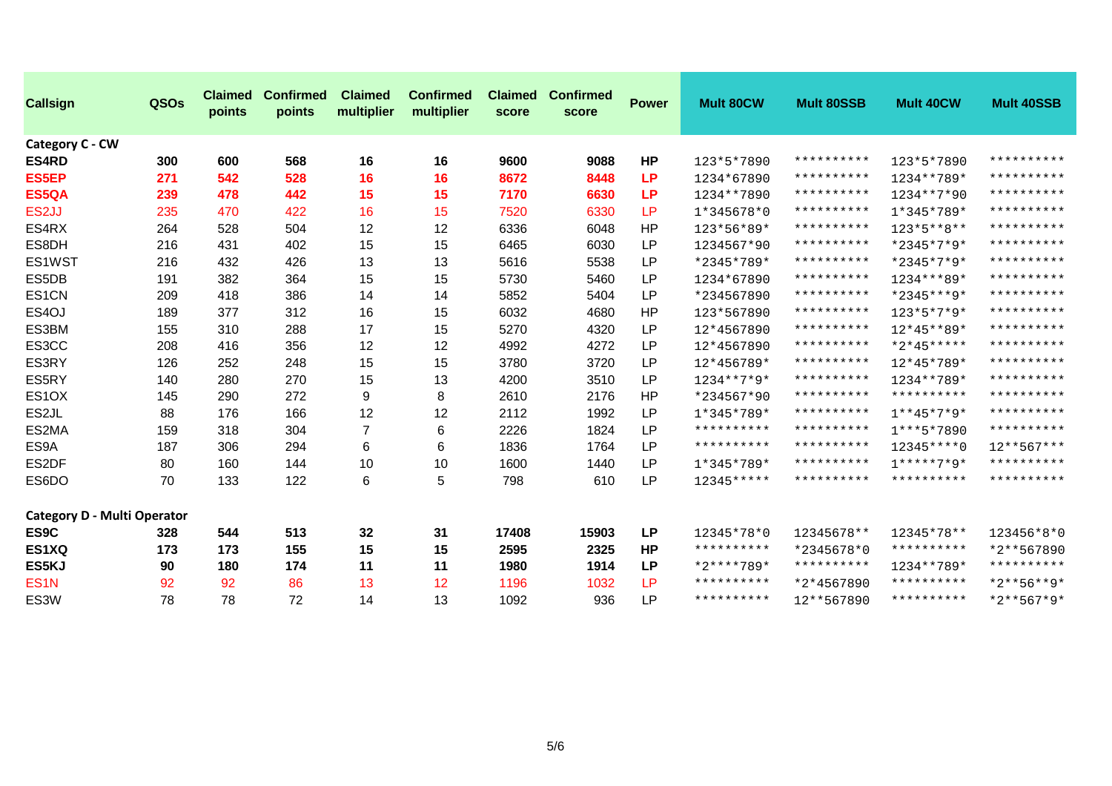| <b>Callsign</b>                    | QSOs | <b>Claimed</b><br>points | <b>Confirmed</b><br>points | <b>Claimed</b><br>multiplier | <b>Confirmed</b><br>multiplier | <b>Claimed</b><br>score | <b>Confirmed</b><br>score | <b>Power</b> | <b>Mult 80CW</b> | <b>Mult 80SSB</b>   | Mult 40CW           | <b>Mult 40SSB</b> |
|------------------------------------|------|--------------------------|----------------------------|------------------------------|--------------------------------|-------------------------|---------------------------|--------------|------------------|---------------------|---------------------|-------------------|
| Category C - CW<br><b>ES4RD</b>    | 300  | 600                      | 568                        | 16                           | 16                             | 9600                    | 9088                      | <b>HP</b>    | 123*5*7890       | * * * * * * * * * * | 123*5*7890          | **********        |
| <b>ES5EP</b>                       | 271  | 542                      | 528                        | 16                           | 16                             | 8672                    | 8448                      | LP.          | 1234*67890       | **********          | 1234**789*          | **********        |
| ES5QA                              | 239  | 478                      | 442                        | 15                           | 15                             | 7170                    | 6630                      | LP.          | 1234 ** 7890     | * * * * * * * * * * | 1234**7*90          | **********        |
| ES <sub>2</sub> JJ                 | 235  | 470                      | 422                        | 16                           | 15                             | 7520                    | 6330                      | <b>LP</b>    | $1*345678*0$     | **********          | 1*345*789*          | **********        |
| ES4RX                              | 264  | 528                      | 504                        | 12                           | 12                             | 6336                    | 6048                      | <b>HP</b>    | 123*56*89*       | * * * * * * * * * * | 123*5**8**          | **********        |
| ES8DH                              | 216  | 431                      | 402                        | 15                           | 15                             | 6465                    | 6030                      | <b>LP</b>    | 1234567*90       | * * * * * * * * * * | *2345*7*9*          | **********        |
| ES1WST                             | 216  | 432                      | 426                        | 13                           | 13                             | 5616                    | 5538                      | <b>LP</b>    | *2345*789*       | **********          | *2345*7*9*          | **********        |
| ES5DB                              | 191  | 382                      | 364                        | 15                           | 15                             | 5730                    | 5460                      | <b>LP</b>    | 1234*67890       | * * * * * * * * * * | 1234***89*          | **********        |
| ES1CN                              | 209  | 418                      | 386                        | 14                           | 14                             | 5852                    | 5404                      | <b>LP</b>    | *234567890       | **********          | *2345***9*          | **********        |
| ES4OJ                              | 189  | 377                      | 312                        | 16                           | 15                             | 6032                    | 4680                      | HP           | 123*567890       | **********          | $123*5*7*9*$        | **********        |
| ES3BM                              | 155  | 310                      | 288                        | 17                           | 15                             | 5270                    | 4320                      | <b>LP</b>    | 12*4567890       | * * * * * * * * * * | 12*45**89*          | **********        |
| ES3CC                              | 208  | 416                      | 356                        | 12                           | 12                             | 4992                    | 4272                      | <b>LP</b>    | 12*4567890       | **********          | $*2*45***$          | **********        |
| ES3RY                              | 126  | 252                      | 248                        | 15                           | 15                             | 3780                    | 3720                      | <b>LP</b>    | 12*456789*       | * * * * * * * * * * | 12*45*789*          | **********        |
| ES5RY                              | 140  | 280                      | 270                        | 15                           | 13                             | 4200                    | 3510                      | <b>LP</b>    | $1234***7*9*$    | * * * * * * * * * * | 1234 ** 789 *       | **********        |
| ES <sub>1</sub> OX                 | 145  | 290                      | 272                        | 9                            | 8                              | 2610                    | 2176                      | <b>HP</b>    | *234567*90       | **********          | **********          | **********        |
| ES2JL                              | 88   | 176                      | 166                        | 12                           | 12                             | 2112                    | 1992                      | <b>LP</b>    | 1*345*789*       | **********          | $1**45*7*9*$        | **********        |
| ES2MA                              | 159  | 318                      | 304                        | $\overline{7}$               | 6                              | 2226                    | 1824                      | <b>LP</b>    | **********       | **********          | $1***5*7890$        | **********        |
| ES9A                               | 187  | 306                      | 294                        | 6                            | 6                              | 1836                    | 1764                      | LP           | **********       | **********          | $12345***0$         | $12***567***$     |
| ES2DF                              | 80   | 160                      | 144                        | 10                           | 10                             | 1600                    | 1440                      | LP           | 1*345*789*       | * * * * * * * * * * | $1****7*9*$         | **********        |
| ES6DO                              | 70   | 133                      | 122                        | 6                            | 5                              | 798                     | 610                       | <b>LP</b>    | 12345*****       | * * * * * * * * * * | **********          | **********        |
| <b>Category D - Multi Operator</b> |      |                          |                            |                              |                                |                         |                           |              |                  |                     |                     |                   |
| ES9C                               | 328  | 544                      | 513                        | 32                           | 31                             | 17408                   | 15903                     | <b>LP</b>    | 12345*78*0       | 12345678**          | 12345*78**          | 123456*8*0        |
| ES1XQ                              | 173  | 173                      | 155                        | 15                           | 15                             | 2595                    | 2325                      | <b>HP</b>    | **********       | *2345678*0          | **********          | *2**567890        |
| ES5KJ                              | 90   | 180                      | 174                        | 11                           | 11                             | 1980                    | 1914                      | <b>LP</b>    | *2****789*       | **********          | 1234**789*          | **********        |
| ES <sub>1</sub> N                  | 92   | 92                       | 86                         | 13                           | 12                             | 1196                    | 1032                      | <b>LP</b>    | **********       | *2*4567890          | * * * * * * * * * * | $*2***56***9*$    |
| ES3W                               | 78   | 78                       | 72                         | 14                           | 13                             | 1092                    | 936                       | <b>LP</b>    | **********       | 12**567890          | * * * * * * * * * * | $*2**567*9*$      |